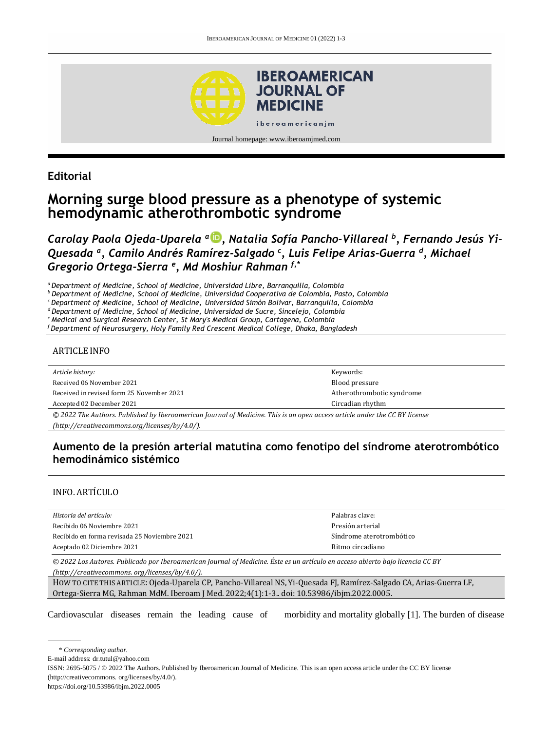

## **Editorial**

# **Morning surge blood pressure as a phenotype of systemic hemodynamic atherothrombotic syndrome**

*Carolay Paola Ojeda-Uparela <sup>a</sup> [,](http://orcid.org/0000-1229-2830-8654) Natalia Sofía Pancho-Villareal <sup>b</sup> , Fernando Jesús Yi-Quesada <sup>a</sup> , Camilo Andrés Ramírez-Salgado <sup>c</sup> , Luis Felipe Arias-Guerra <sup>d</sup> , Michael Gregorio Ortega-Sierra <sup>e</sup> , Md Moshiur Rahman f,\**

*<sup>a</sup>Department of Medicine, School of Medicine, Universidad Libre, Barranquilla, Colombia*

*<sup>b</sup>Department of Medicine, School of Medicine, Universidad Cooperativa de Colombia, Pasto, Colombia*

*<sup>c</sup>Department of Medicine, School of Medicine, Universidad Simón Bolivar, Barranquilla, Colombia*

*<sup>d</sup>Department of Medicine, School of Medicine, Universidad de Sucre, Sincelejo, Colombia*

*<sup>e</sup>Medical and Surgical Research Center, St Mary's Medical Group, Cartagena, Colombia*

*<sup>f</sup>Department of Neurosurgery, Holy Family Red Crescent Medical College, Dhaka, Bangladesh*

#### ARTICLE INFO

*Article history:*  Received 06 November 2021 Received in revised form 25 November 2021

Accepted 02 December 2021

Circadian rhythm *© 2022 The Authors. Published by Iberoamerican Journal of Medicine. This is an open access article under the CC BY license [\(http://creativecommons.org/licenses/by/4.0/\)](http://creativecommons.org/licenses/by/4.0/).*

#### **Aumento de la presión arterial matutina como fenotipo del síndrome aterotrombótico hemodinámico sistémico**

Keywords: Blood pressure

Atherothrombotic syndrome

#### INFO. ARTÍCULO

| Historia del artículo:                       | Palabras clave:          |
|----------------------------------------------|--------------------------|
| Recibido 06 Noviembre 2021                   | Presión arterial         |
| Recibido en forma revisada 25 Noviembre 2021 | Síndrome aterotrombótico |
| Aceptado 02 Diciembre 2021                   | Ritmo circadiano         |

*© 2022 Los Autores. Publicado por Iberoamerican Journal of Medicine. Éste es un artículo en acceso abierto bajo licencia CC BY (http:/[/creativecommons. org/licenses/by/4.0/\)](https://creativecommons.org/licenses/by/4.0/).*

HOW TO CITE THIS ARTICLE: Ojeda-Uparela CP, Pancho-Villareal NS, Yi-Quesada FJ, Ramírez-Salgado CA, Arias-Guerra LF, Ortega-Sierra MG, Rahman MdM. Iberoam J Med. 2022;4(1):1-3.. doi[: 10.53986/ibjm.2022.0005.](https://doi.org/10.53986/ibjm.2022.0005)

Cardiovascular diseases remain the leading cause of morbidity and mortality globally [1]. The burden of disease

\* *Corresponding author.*

E-mail address[: dr.tutul@yahoo.com](mailto:dr.tutul@yahoo.com)

ISSN: 2695-5075 / © 2022 The Authors. Published by Iberoamerican Journal of Medicine. This is an open access article under the CC BY license (http:/[/creativecommons. org/licenses/by/4.0/\)](https://creativecommons.org/licenses/by/4.0/).

<https://doi.org/10.53986/ibjm.2022.0005>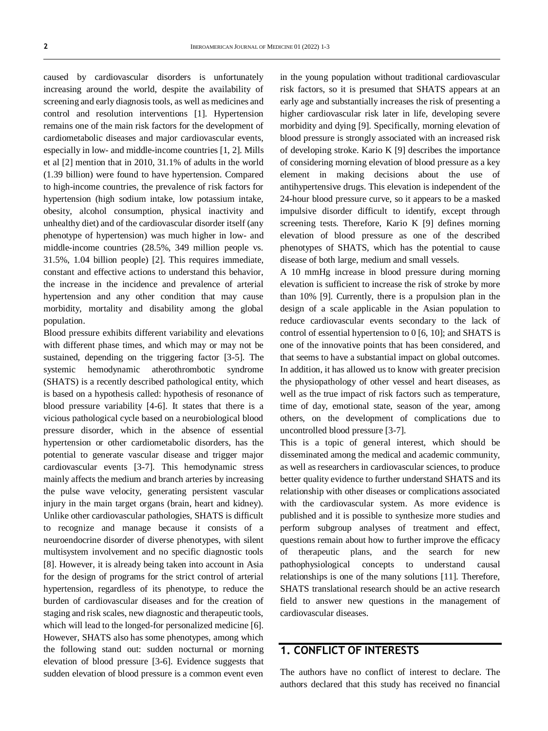caused by cardiovascular disorders is unfortunately increasing around the world, despite the availability of screening and early diagnosis tools, as well as medicines and control and resolution interventions [1]. Hypertension remains one of the main risk factors for the development of cardiometabolic diseases and major cardiovascular events, especially in low- and middle-income countries [1, 2]. Mills et al [2] mention that in 2010, 31.1% of adults in the world (1.39 billion) were found to have hypertension. Compared to high-income countries, the prevalence of risk factors for hypertension (high sodium intake, low potassium intake, obesity, alcohol consumption, physical inactivity and unhealthy diet) and of the cardiovascular disorder itself (any phenotype of hypertension) was much higher in low- and middle-income countries (28.5%, 349 million people vs. 31.5%, 1.04 billion people) [2]. This requires immediate, constant and effective actions to understand this behavior, the increase in the incidence and prevalence of arterial hypertension and any other condition that may cause morbidity, mortality and disability among the global population.

Blood pressure exhibits different variability and elevations with different phase times, and which may or may not be sustained, depending on the triggering factor [3-5]. The systemic hemodynamic atherothrombotic syndrome (SHATS) is a recently described pathological entity, which is based on a hypothesis called: hypothesis of resonance of blood pressure variability [4-6]. It states that there is a vicious pathological cycle based on a neurobiological blood pressure disorder, which in the absence of essential hypertension or other cardiometabolic disorders, has the potential to generate vascular disease and trigger major cardiovascular events [3-7]. This hemodynamic stress mainly affects the medium and branch arteries by increasing the pulse wave velocity, generating persistent vascular injury in the main target organs (brain, heart and kidney). Unlike other cardiovascular pathologies, SHATS is difficult to recognize and manage because it consists of a neuroendocrine disorder of diverse phenotypes, with silent multisystem involvement and no specific diagnostic tools [8]. However, it is already being taken into account in Asia for the design of programs for the strict control of arterial hypertension, regardless of its phenotype, to reduce the burden of cardiovascular diseases and for the creation of staging and risk scales, new diagnostic and therapeutic tools, which will lead to the longed-for personalized medicine [6]. However, SHATS also has some phenotypes, among which the following stand out: sudden nocturnal or morning elevation of blood pressure [3-6]. Evidence suggests that sudden elevation of blood pressure is a common event even

in the young population without traditional cardiovascular risk factors, so it is presumed that SHATS appears at an early age and substantially increases the risk of presenting a higher cardiovascular risk later in life, developing severe morbidity and dying [9]. Specifically, morning elevation of blood pressure is strongly associated with an increased risk of developing stroke. Kario K [9] describes the importance of considering morning elevation of blood pressure as a key element in making decisions about the use of antihypertensive drugs. This elevation is independent of the 24-hour blood pressure curve, so it appears to be a masked impulsive disorder difficult to identify, except through screening tests. Therefore, Kario K [9] defines morning elevation of blood pressure as one of the described phenotypes of SHATS, which has the potential to cause disease of both large, medium and small vessels.

A 10 mmHg increase in blood pressure during morning elevation is sufficient to increase the risk of stroke by more than 10% [9]. Currently, there is a propulsion plan in the design of a scale applicable in the Asian population to reduce cardiovascular events secondary to the lack of control of essential hypertension to 0 [6, 10]; and SHATS is one of the innovative points that has been considered, and that seems to have a substantial impact on global outcomes. In addition, it has allowed us to know with greater precision the physiopathology of other vessel and heart diseases, as well as the true impact of risk factors such as temperature, time of day, emotional state, season of the year, among others, on the development of complications due to uncontrolled blood pressure [3-7].

This is a topic of general interest, which should be disseminated among the medical and academic community, as well as researchers in cardiovascular sciences, to produce better quality evidence to further understand SHATS and its relationship with other diseases or complications associated with the cardiovascular system. As more evidence is published and it is possible to synthesize more studies and perform subgroup analyses of treatment and effect, questions remain about how to further improve the efficacy of therapeutic plans, and the search for new pathophysiological concepts to understand causal relationships is one of the many solutions [11]. Therefore, SHATS translational research should be an active research field to answer new questions in the management of cardiovascular diseases.

## **1. CONFLICT OF INTERESTS**

The authors have no conflict of interest to declare. The authors declared that this study has received no financial